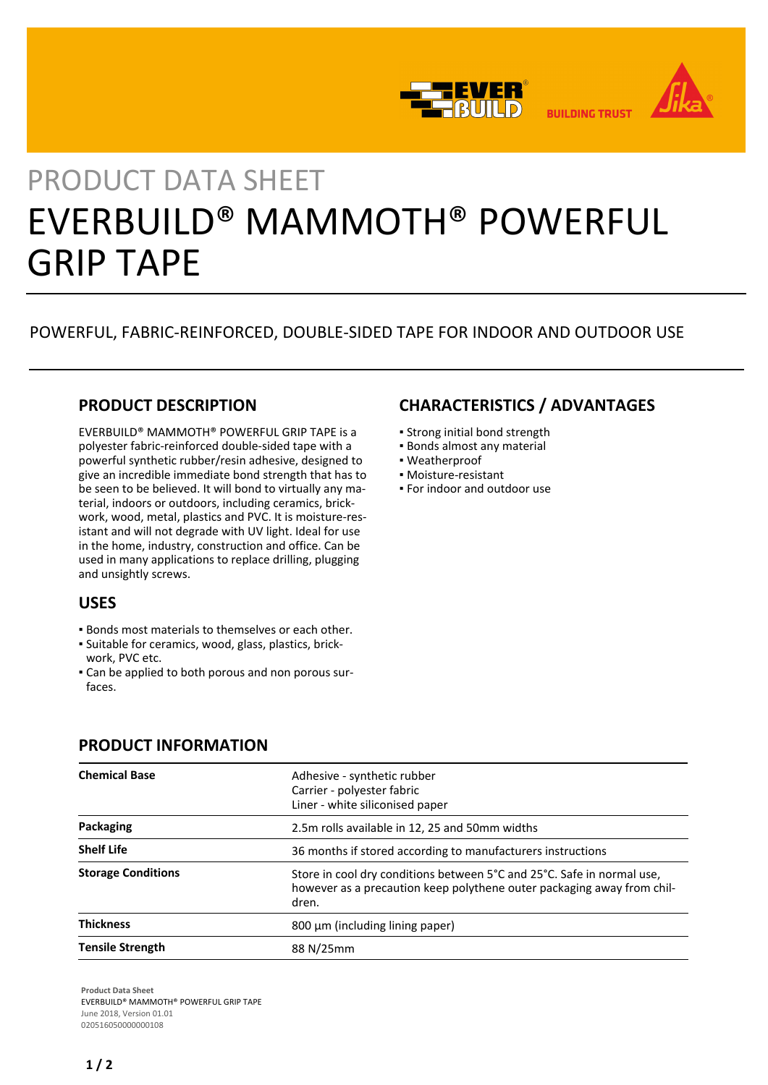

# PRODUCT DATA SHEET EVERBUILD® MAMMOTH® POWERFUL GRIP TAPE

## POWERFUL, FABRIC-REINFORCED, DOUBLE-SIDED TAPE FOR INDOOR AND OUTDOOR USE

#### **PRODUCT DESCRIPTION**

EVERBUILD® MAMMOTH® POWERFUL GRIP TAPE is a polyester fabric-reinforced double-sided tape with a powerful synthetic rubber/resin adhesive, designed to give an incredible immediate bond strength that has to be seen to be believed. It will bond to virtually any material, indoors or outdoors, including ceramics, brickwork, wood, metal, plastics and PVC. It is moisture-resistant and will not degrade with UV light. Ideal for use in the home, industry, construction and office. Can be used in many applications to replace drilling, plugging and unsightly screws.

#### **USES**

- Bonds most materials to themselves or each other.
- Suitable for ceramics, wood, glass, plastics, brick-▪ work, PVC etc.
- Can be applied to both porous and non porous sur-▪ faces.

## **CHARACTERISTICS / ADVANTAGES**

- Strong initial bond strength
- Bonds almost any material
- Weatherproof
- Moisture-resistant
- For indoor and outdoor use

| <b>Chemical Base</b>      | Adhesive - synthetic rubber<br>Carrier - polyester fabric<br>Liner - white siliconised paper                                                              |
|---------------------------|-----------------------------------------------------------------------------------------------------------------------------------------------------------|
| Packaging                 | 2.5m rolls available in 12, 25 and 50mm widths                                                                                                            |
| <b>Shelf Life</b>         | 36 months if stored according to manufacturers instructions                                                                                               |
| <b>Storage Conditions</b> | Store in cool dry conditions between 5°C and 25°C. Safe in normal use,<br>however as a precaution keep polythene outer packaging away from chil-<br>dren. |
| <b>Thickness</b>          | 800 μm (including lining paper)                                                                                                                           |
| <b>Tensile Strength</b>   | 88 N/25mm                                                                                                                                                 |

#### **PRODUCT INFORMATION**

**Product Data Sheet** EVERBUILD® MAMMOTH® POWERFUL GRIP TAPE June 2018, Version 01.01 020516050000000108